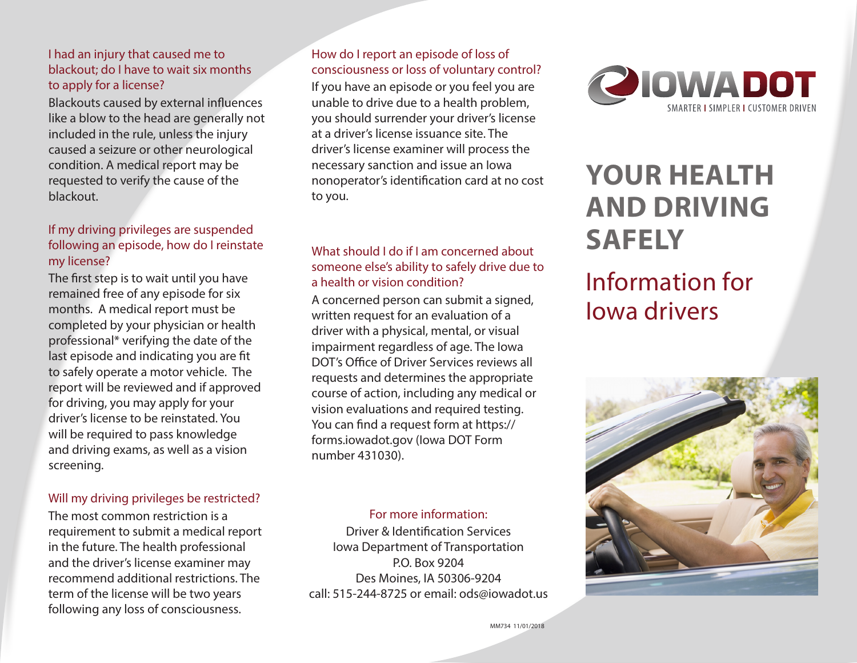### I had an injury that caused me to blackout; do I have to wait six months to apply for a license?

Blackouts caused by external influences like a blow to the head are generally not included in the rule, unless the injury caused a seizure or other neurological condition. A medical report may be requested to verify the cause of the blackout.

### If my driving privileges are suspended following an episode, how do I reinstate my license?

The first step is to wait until you have remained free of any episode for six months. A medical report must be completed by your physician or health professional\* verifying the date of the last episode and indicating you are fit to safely operate a motor vehicle. The report will be reviewed and if approved for driving, you may apply for your driver's license to be reinstated. You will be required to pass knowledge and driving exams, as well as a vision screening.

### Will my driving privileges be restricted?

The most common restriction is a requirement to submit a medical report in the future. The health professional and the driver's license examiner may recommend additional restrictions. The term of the license will be two years following any loss of consciousness.

### How do I report an episode of loss of consciousness or loss of voluntary control?

If you have an episode or you feel you are unable to drive due to a health problem, you should surrender your driver's license at a driver's license issuance site. The driver's license examiner will process the necessary sanction and issue an Iowa nonoperator's identification card at no cost to you.

### What should I do if I am concerned about someone else's ability to safely drive due to a health or vision condition?

A concerned person can submit a signed, written request for an evaluation of a driver with a physical, mental, or visual impairment regardless of age. The Iowa DOT's Office of Driver Services reviews all requests and determines the appropriate course of action, including any medical or vision evaluations and required testing. You can find a request form at https:// forms.iowadot.gov (Iowa DOT Form number 431030).

### For more information:

Driver & Identification Services Iowa Department of Transportation P.O. Box 9204 Des Moines, IA 50306-9204 call: 515-244-8725 or email: ods@iowadot.us



# **YOUR HEALTH AND DRIVING SAFELY**

# Information for Iowa drivers